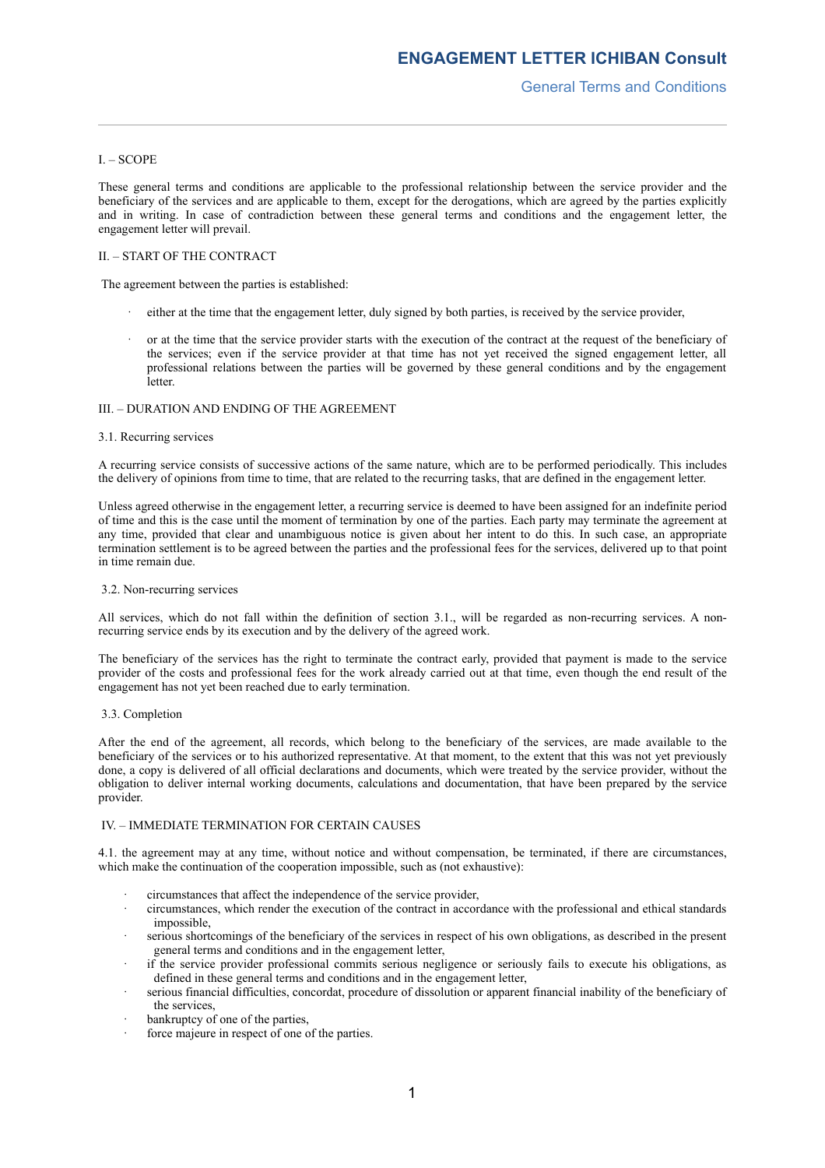# I. – SCOPE

These general terms and conditions are applicable to the professional relationship between the service provider and the beneficiary of the services and are applicable to them, except for the derogations, which are agreed by the parties explicitly and in writing. In case of contradiction between these general terms and conditions and the engagement letter, the engagement letter will prevail.

# II. – START OF THE CONTRACT

The agreement between the parties is established:

- either at the time that the engagement letter, duly signed by both parties, is received by the service provider,
- or at the time that the service provider starts with the execution of the contract at the request of the beneficiary of the services; even if the service provider at that time has not yet received the signed engagement letter, all professional relations between the parties will be governed by these general conditions and by the engagement **letter**

## III. – DURATION AND ENDING OF THE AGREEMENT

# 3.1. Recurring services

A recurring service consists of successive actions of the same nature, which are to be performed periodically. This includes the delivery of opinions from time to time, that are related to the recurring tasks, that are defined in the engagement letter.

Unless agreed otherwise in the engagement letter, a recurring service is deemed to have been assigned for an indefinite period of time and this is the case until the moment of termination by one of the parties. Each party may terminate the agreement at any time, provided that clear and unambiguous notice is given about her intent to do this. In such case, an appropriate termination settlement is to be agreed between the parties and the professional fees for the services, delivered up to that point in time remain due.

## 3.2. Non-recurring services

All services, which do not fall within the definition of section 3.1., will be regarded as non-recurring services. A nonrecurring service ends by its execution and by the delivery of the agreed work.

The beneficiary of the services has the right to terminate the contract early, provided that payment is made to the service provider of the costs and professional fees for the work already carried out at that time, even though the end result of the engagement has not yet been reached due to early termination.

## 3.3. Completion

After the end of the agreement, all records, which belong to the beneficiary of the services, are made available to the beneficiary of the services or to his authorized representative. At that moment, to the extent that this was not yet previously done, a copy is delivered of all official declarations and documents, which were treated by the service provider, without the obligation to deliver internal working documents, calculations and documentation, that have been prepared by the service provider.

# IV. – IMMEDIATE TERMINATION FOR CERTAIN CAUSES

4.1. the agreement may at any time, without notice and without compensation, be terminated, if there are circumstances, which make the continuation of the cooperation impossible, such as (not exhaustive):

- · circumstances that affect the independence of the service provider,
- · circumstances, which render the execution of the contract in accordance with the professional and ethical standards impossible,
- serious shortcomings of the beneficiary of the services in respect of his own obligations, as described in the present general terms and conditions and in the engagement letter,
- if the service provider professional commits serious negligence or seriously fails to execute his obligations, as defined in these general terms and conditions and in the engagement letter,
- serious financial difficulties, concordat, procedure of dissolution or apparent financial inability of the beneficiary of the services,
- bankruptcy of one of the parties,
- force majeure in respect of one of the parties.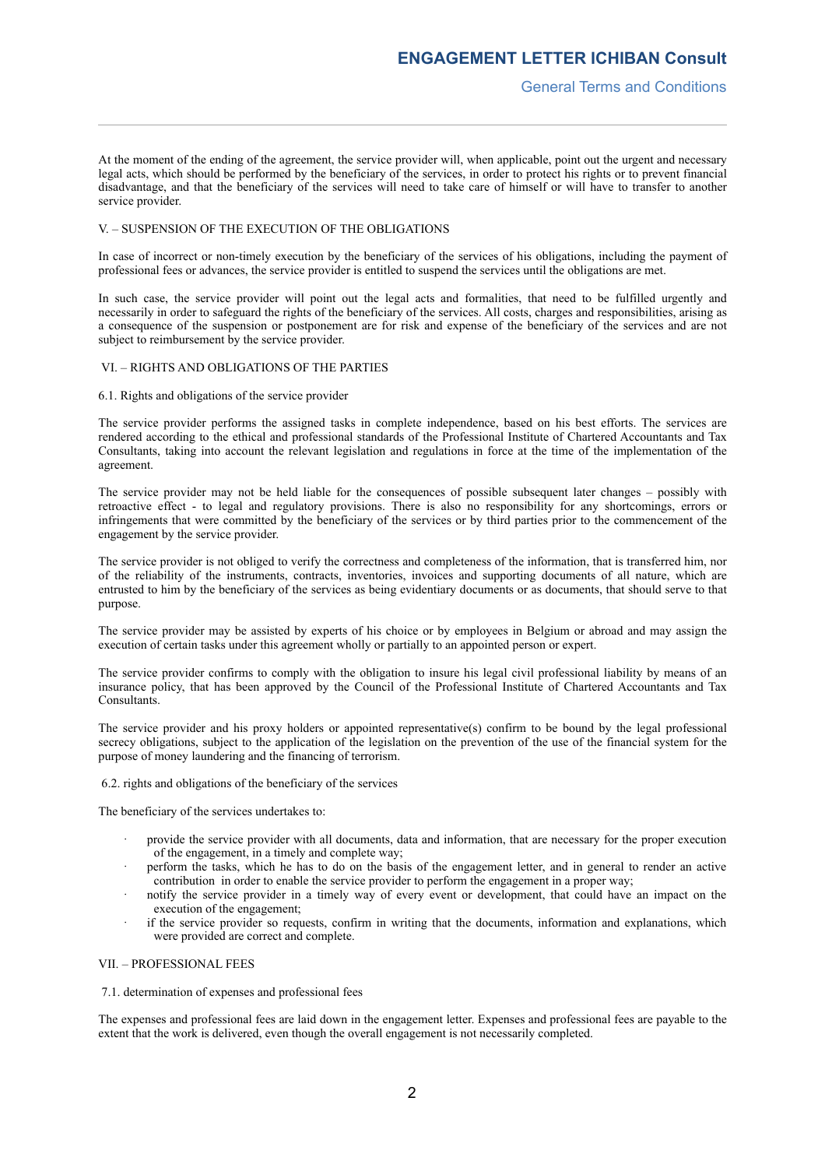At the moment of the ending of the agreement, the service provider will, when applicable, point out the urgent and necessary legal acts, which should be performed by the beneficiary of the services, in order to protect his rights or to prevent financial disadvantage, and that the beneficiary of the services will need to take care of himself or will have to transfer to another service provider.

## V. – SUSPENSION OF THE EXECUTION OF THE OBLIGATIONS

In case of incorrect or non-timely execution by the beneficiary of the services of his obligations, including the payment of professional fees or advances, the service provider is entitled to suspend the services until the obligations are met.

In such case, the service provider will point out the legal acts and formalities, that need to be fulfilled urgently and necessarily in order to safeguard the rights of the beneficiary of the services. All costs, charges and responsibilities, arising as a consequence of the suspension or postponement are for risk and expense of the beneficiary of the services and are not subject to reimbursement by the service provider.

## VI. – RIGHTS AND OBLIGATIONS OF THE PARTIES

## 6.1. Rights and obligations of the service provider

The service provider performs the assigned tasks in complete independence, based on his best efforts. The services are rendered according to the ethical and professional standards of the Professional Institute of Chartered Accountants and Tax Consultants, taking into account the relevant legislation and regulations in force at the time of the implementation of the agreement.

The service provider may not be held liable for the consequences of possible subsequent later changes – possibly with retroactive effect - to legal and regulatory provisions. There is also no responsibility for any shortcomings, errors or infringements that were committed by the beneficiary of the services or by third parties prior to the commencement of the engagement by the service provider.

The service provider is not obliged to verify the correctness and completeness of the information, that is transferred him, nor of the reliability of the instruments, contracts, inventories, invoices and supporting documents of all nature, which are entrusted to him by the beneficiary of the services as being evidentiary documents or as documents, that should serve to that purpose.

The service provider may be assisted by experts of his choice or by employees in Belgium or abroad and may assign the execution of certain tasks under this agreement wholly or partially to an appointed person or expert.

The service provider confirms to comply with the obligation to insure his legal civil professional liability by means of an insurance policy, that has been approved by the Council of the Professional Institute of Chartered Accountants and Tax **Consultants** 

The service provider and his proxy holders or appointed representative(s) confirm to be bound by the legal professional secrecy obligations, subject to the application of the legislation on the prevention of the use of the financial system for the purpose of money laundering and the financing of terrorism.

6.2. rights and obligations of the beneficiary of the services

The beneficiary of the services undertakes to:

- provide the service provider with all documents, data and information, that are necessary for the proper execution of the engagement, in a timely and complete way;
- · perform the tasks, which he has to do on the basis of the engagement letter, and in general to render an active contribution in order to enable the service provider to perform the engagement in a proper way;
- notify the service provider in a timely way of every event or development, that could have an impact on the execution of the engagement;
- if the service provider so requests, confirm in writing that the documents, information and explanations, which were provided are correct and complete.

# VII. – PROFESSIONAL FEES

## 7.1. determination of expenses and professional fees

The expenses and professional fees are laid down in the engagement letter. Expenses and professional fees are payable to the extent that the work is delivered, even though the overall engagement is not necessarily completed.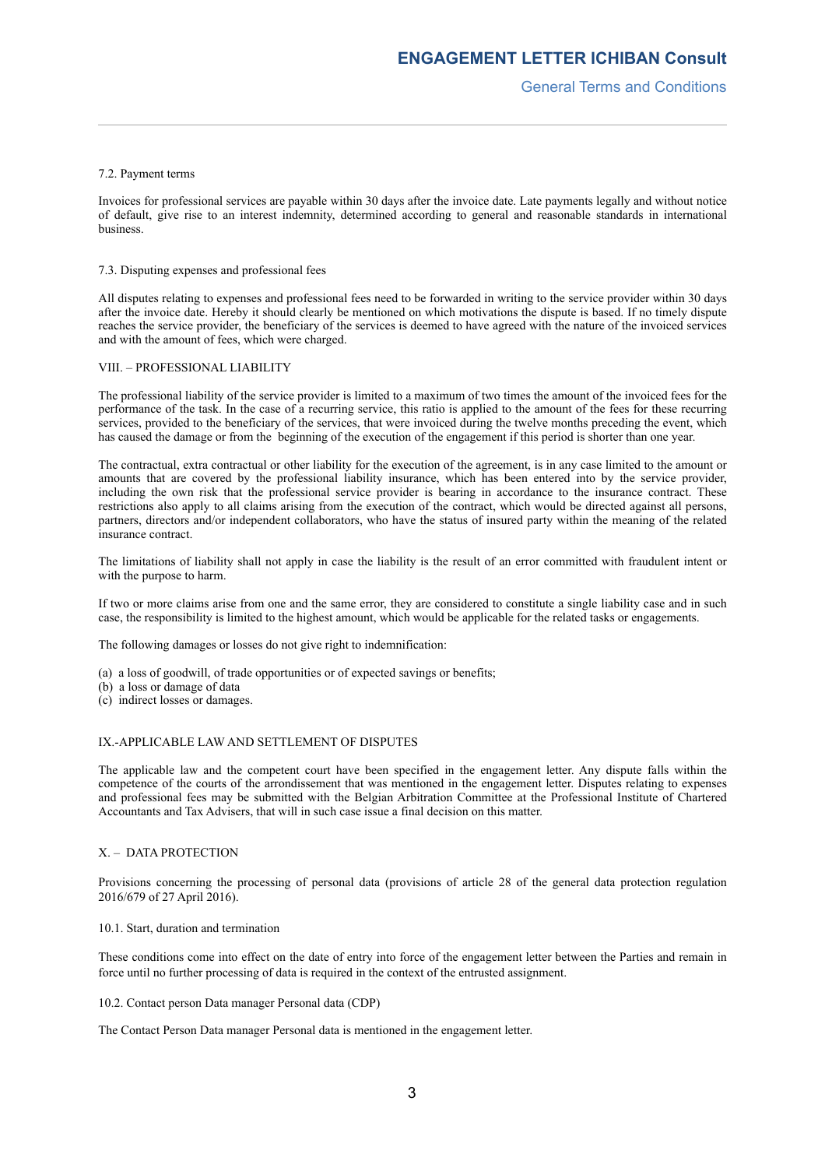# 7.2. Payment terms

Invoices for professional services are payable within 30 days after the invoice date. Late payments legally and without notice of default, give rise to an interest indemnity, determined according to general and reasonable standards in international business.

# 7.3. Disputing expenses and professional fees

All disputes relating to expenses and professional fees need to be forwarded in writing to the service provider within 30 days after the invoice date. Hereby it should clearly be mentioned on which motivations the dispute is based. If no timely dispute reaches the service provider, the beneficiary of the services is deemed to have agreed with the nature of the invoiced services and with the amount of fees, which were charged.

## VIII. – PROFESSIONAL LIABILITY

The professional liability of the service provider is limited to a maximum of two times the amount of the invoiced fees for the performance of the task. In the case of a recurring service, this ratio is applied to the amount of the fees for these recurring services, provided to the beneficiary of the services, that were invoiced during the twelve months preceding the event, which has caused the damage or from the beginning of the execution of the engagement if this period is shorter than one year.

The contractual, extra contractual or other liability for the execution of the agreement, is in any case limited to the amount or amounts that are covered by the professional liability insurance, which has been entered into by the service provider, including the own risk that the professional service provider is bearing in accordance to the insurance contract. These restrictions also apply to all claims arising from the execution of the contract, which would be directed against all persons, partners, directors and/or independent collaborators, who have the status of insured party within the meaning of the related insurance contract.

The limitations of liability shall not apply in case the liability is the result of an error committed with fraudulent intent or with the purpose to harm.

If two or more claims arise from one and the same error, they are considered to constitute a single liability case and in such case, the responsibility is limited to the highest amount, which would be applicable for the related tasks or engagements.

The following damages or losses do not give right to indemnification:

- (a) a loss of goodwill, of trade opportunities or of expected savings or benefits;
- (b) a loss or damage of data
- (c) indirect losses or damages.

## IX.-APPLICABLE LAW AND SETTLEMENT OF DISPUTES

The applicable law and the competent court have been specified in the engagement letter. Any dispute falls within the competence of the courts of the arrondissement that was mentioned in the engagement letter. Disputes relating to expenses and professional fees may be submitted with the Belgian Arbitration Committee at the Professional Institute of Chartered Accountants and Tax Advisers, that will in such case issue a final decision on this matter.

# X. – DATA PROTECTION

Provisions concerning the processing of personal data (provisions of article 28 of the general data protection regulation 2016/679 of 27 April 2016).

10.1. Start, duration and termination

These conditions come into effect on the date of entry into force of the engagement letter between the Parties and remain in force until no further processing of data is required in the context of the entrusted assignment.

10.2. Contact person Data manager Personal data (CDP)

The Contact Person Data manager Personal data is mentioned in the engagement letter.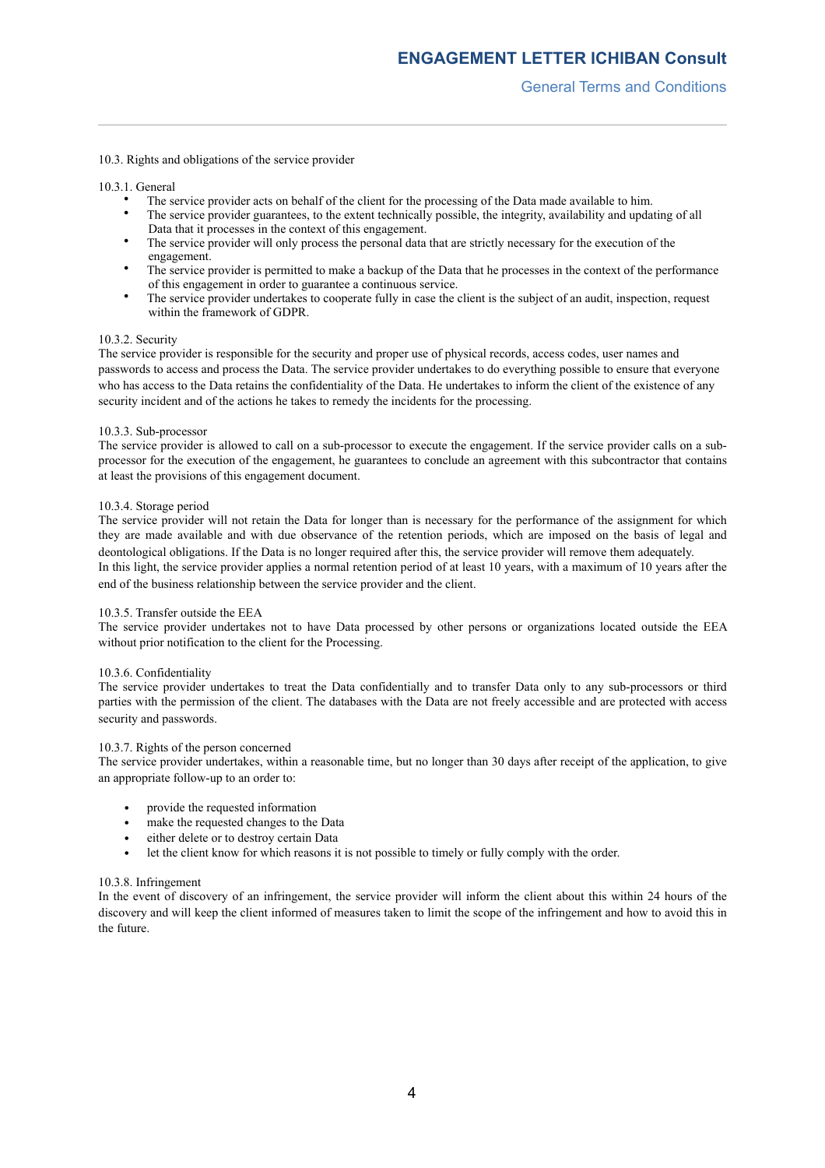# 10.3. Rights and obligations of the service provider

10.3.1. General

- The service provider acts on behalf of the client for the processing of the Data made available to him.
- The service provider guarantees, to the extent technically possible, the integrity, availability and updating of all Data that it processes in the context of this engagement.
- The service provider will only process the personal data that are strictly necessary for the execution of the engagement.
- The service provider is permitted to make a backup of the Data that he processes in the context of the performance of this engagement in order to guarantee a continuous service.
- The service provider undertakes to cooperate fully in case the client is the subject of an audit, inspection, request within the framework of GDPR.

## 10.3.2. Security

The service provider is responsible for the security and proper use of physical records, access codes, user names and passwords to access and process the Data. The service provider undertakes to do everything possible to ensure that everyone who has access to the Data retains the confidentiality of the Data. He undertakes to inform the client of the existence of any security incident and of the actions he takes to remedy the incidents for the processing.

## 10.3.3. Sub-processor

The service provider is allowed to call on a sub-processor to execute the engagement. If the service provider calls on a subprocessor for the execution of the engagement, he guarantees to conclude an agreement with this subcontractor that contains at least the provisions of this engagement document.

## 10.3.4. Storage period

The service provider will not retain the Data for longer than is necessary for the performance of the assignment for which they are made available and with due observance of the retention periods, which are imposed on the basis of legal and deontological obligations. If the Data is no longer required after this, the service provider will remove them adequately. In this light, the service provider applies a normal retention period of at least 10 years, with a maximum of 10 years after the end of the business relationship between the service provider and the client.

# 10.3.5. Transfer outside the EEA

The service provider undertakes not to have Data processed by other persons or organizations located outside the EEA without prior notification to the client for the Processing.

## 10.3.6. Confidentiality

The service provider undertakes to treat the Data confidentially and to transfer Data only to any sub-processors or third parties with the permission of the client. The databases with the Data are not freely accessible and are protected with access security and passwords.

## 10.3.7. Rights of the person concerned

The service provider undertakes, within a reasonable time, but no longer than 30 days after receipt of the application, to give an appropriate follow-up to an order to:

- provide the requested information
- make the requested changes to the Data
- either delete or to destroy certain Data
- let the client know for which reasons it is not possible to timely or fully comply with the order.

# 10.3.8. Infringement

In the event of discovery of an infringement, the service provider will inform the client about this within 24 hours of the discovery and will keep the client informed of measures taken to limit the scope of the infringement and how to avoid this in the future.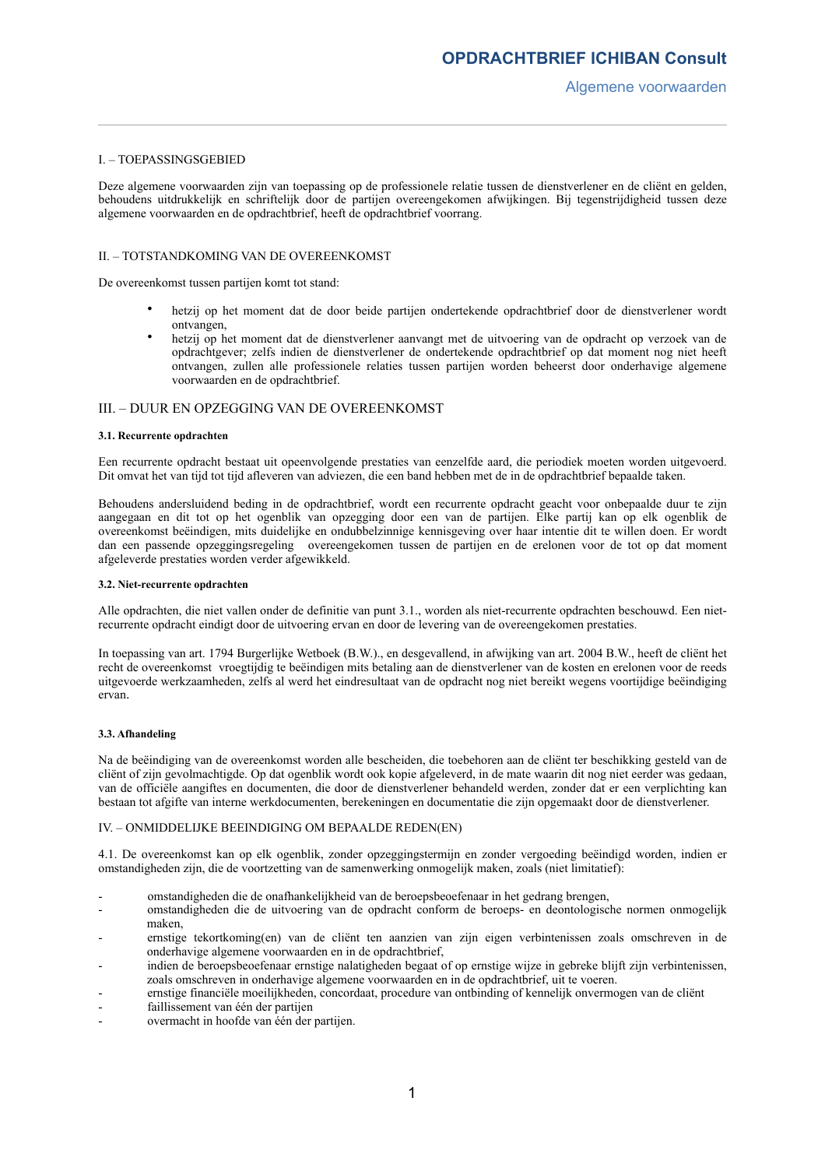## I. – TOEPASSINGSGEBIED

Deze algemene voorwaarden zijn van toepassing op de professionele relatie tussen de dienstverlener en de cliënt en gelden, behoudens uitdrukkelijk en schriftelijk door de partijen overeengekomen afwijkingen. Bij tegenstrijdigheid tussen deze algemene voorwaarden en de opdrachtbrief, heeft de opdrachtbrief voorrang.

## II. – TOTSTANDKOMING VAN DE OVEREENKOMST

De overeenkomst tussen partijen komt tot stand:

- hetzij op het moment dat de door beide partijen ondertekende opdrachtbrief door de dienstverlener wordt ontvangen,
- hetzij op het moment dat de dienstverlener aanvangt met de uitvoering van de opdracht op verzoek van de opdrachtgever; zelfs indien de dienstverlener de ondertekende opdrachtbrief op dat moment nog niet heeft ontvangen, zullen alle professionele relaties tussen partijen worden beheerst door onderhavige algemene voorwaarden en de opdrachtbrief.

# III. – DUUR EN OPZEGGING VAN DE OVEREENKOMST

#### **3.1. Recurrente opdrachten**

Een recurrente opdracht bestaat uit opeenvolgende prestaties van eenzelfde aard, die periodiek moeten worden uitgevoerd. Dit omvat het van tijd tot tijd afleveren van adviezen, die een band hebben met de in de opdrachtbrief bepaalde taken.

Behoudens andersluidend beding in de opdrachtbrief, wordt een recurrente opdracht geacht voor onbepaalde duur te zijn aangegaan en dit tot op het ogenblik van opzegging door een van de partijen. Elke partij kan op elk ogenblik de overeenkomst beëindigen, mits duidelijke en ondubbelzinnige kennisgeving over haar intentie dit te willen doen. Er wordt dan een passende opzeggingsregeling overeengekomen tussen de partijen en de erelonen voor de tot op dat moment afgeleverde prestaties worden verder afgewikkeld.

## **3.2. Niet-recurrente opdrachten**

Alle opdrachten, die niet vallen onder de definitie van punt 3.1., worden als niet-recurrente opdrachten beschouwd. Een nietrecurrente opdracht eindigt door de uitvoering ervan en door de levering van de overeengekomen prestaties.

In toepassing van art. 1794 Burgerlijke Wetboek (B.W.)., en desgevallend, in afwijking van art. 2004 B.W., heeft de cliënt het recht de overeenkomst vroegtijdig te beëindigen mits betaling aan de dienstverlener van de kosten en erelonen voor de reeds uitgevoerde werkzaamheden, zelfs al werd het eindresultaat van de opdracht nog niet bereikt wegens voortijdige beëindiging ervan.

## **3.3. Afhandeling**

Na de beëindiging van de overeenkomst worden alle bescheiden, die toebehoren aan de cliënt ter beschikking gesteld van de cliënt of zijn gevolmachtigde. Op dat ogenblik wordt ook kopie afgeleverd, in de mate waarin dit nog niet eerder was gedaan, van de officiële aangiftes en documenten, die door de dienstverlener behandeld werden, zonder dat er een verplichting kan bestaan tot afgifte van interne werkdocumenten, berekeningen en documentatie die zijn opgemaakt door de dienstverlener.

## IV. – ONMIDDELIJKE BEEINDIGING OM BEPAALDE REDEN(EN)

4.1. De overeenkomst kan op elk ogenblik, zonder opzeggingstermijn en zonder vergoeding beëindigd worden, indien er omstandigheden zijn, die de voortzetting van de samenwerking onmogelijk maken, zoals (niet limitatief):

- omstandigheden die de onafhankelijkheid van de beroepsbeoefenaar in het gedrang brengen,
- omstandigheden die de uitvoering van de opdracht conform de beroeps- en deontologische normen onmogelijk maken,
- ernstige tekortkoming(en) van de cliënt ten aanzien van zijn eigen verbintenissen zoals omschreven in de onderhavige algemene voorwaarden en in de opdrachtbrief,
- indien de beroepsbeoefenaar ernstige nalatigheden begaat of op ernstige wijze in gebreke blijft zijn verbintenissen, zoals omschreven in onderhavige algemene voorwaarden en in de opdrachtbrief, uit te voeren.
- ernstige financiële moeilijkheden, concordaat, procedure van ontbinding of kennelijk onvermogen van de cliënt
- faillissement van één der partijen
- overmacht in hoofde van één der partijen.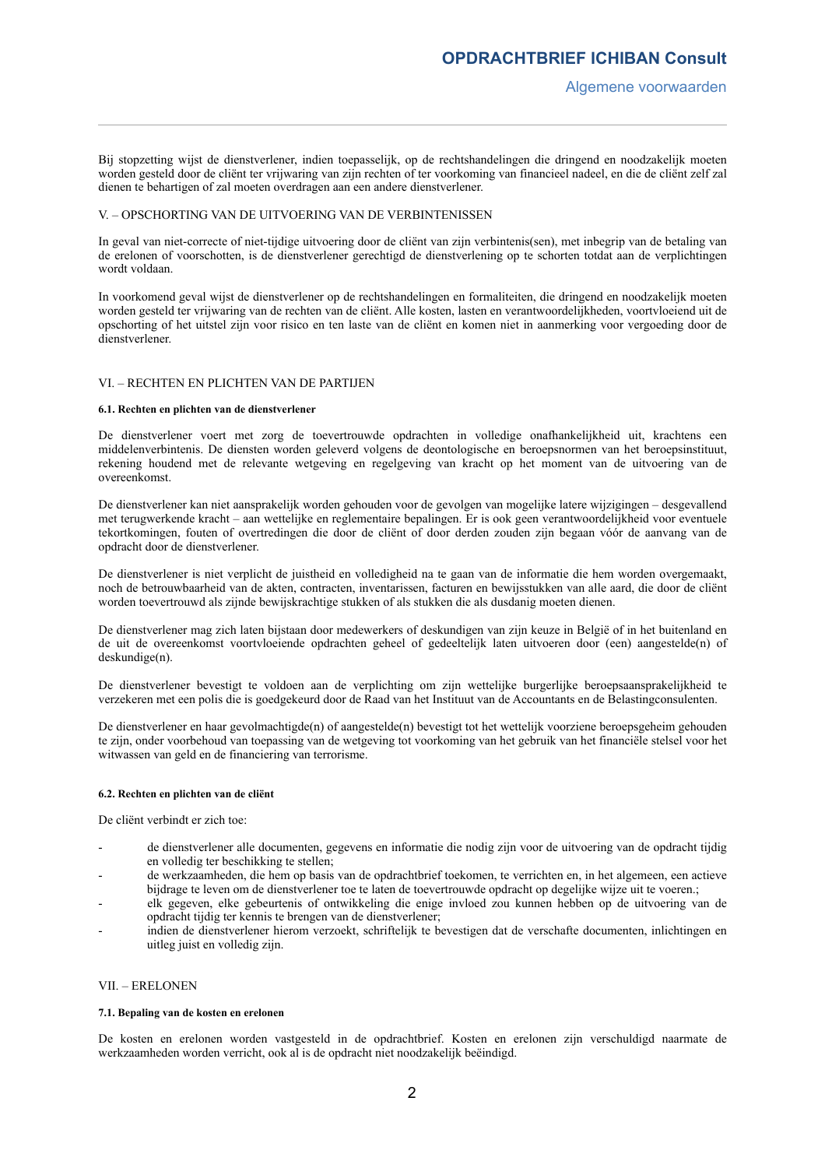Bij stopzetting wijst de dienstverlener, indien toepasselijk, op de rechtshandelingen die dringend en noodzakelijk moeten worden gesteld door de cliënt ter vrijwaring van zijn rechten of ter voorkoming van financieel nadeel, en die de cliënt zelf zal dienen te behartigen of zal moeten overdragen aan een andere dienstverlener.

## V. – OPSCHORTING VAN DE UITVOERING VAN DE VERBINTENISSEN

In geval van niet-correcte of niet-tijdige uitvoering door de cliënt van zijn verbintenis(sen), met inbegrip van de betaling van de erelonen of voorschotten, is de dienstverlener gerechtigd de dienstverlening op te schorten totdat aan de verplichtingen wordt voldaan.

In voorkomend geval wijst de dienstverlener op de rechtshandelingen en formaliteiten, die dringend en noodzakelijk moeten worden gesteld ter vrijwaring van de rechten van de cliënt. Alle kosten, lasten en verantwoordelijkheden, voortvloeiend uit de opschorting of het uitstel zijn voor risico en ten laste van de cliënt en komen niet in aanmerking voor vergoeding door de dienstverlener.

## VI. – RECHTEN EN PLICHTEN VAN DE PARTIJEN

#### **6.1. Rechten en plichten van de dienstverlener**

De dienstverlener voert met zorg de toevertrouwde opdrachten in volledige onafhankelijkheid uit, krachtens een middelenverbintenis. De diensten worden geleverd volgens de deontologische en beroepsnormen van het beroepsinstituut, rekening houdend met de relevante wetgeving en regelgeving van kracht op het moment van de uitvoering van de overeenkomst.

De dienstverlener kan niet aansprakelijk worden gehouden voor de gevolgen van mogelijke latere wijzigingen – desgevallend met terugwerkende kracht – aan wettelijke en reglementaire bepalingen. Er is ook geen verantwoordelijkheid voor eventuele tekortkomingen, fouten of overtredingen die door de cliënt of door derden zouden zijn begaan vóór de aanvang van de opdracht door de dienstverlener.

De dienstverlener is niet verplicht de juistheid en volledigheid na te gaan van de informatie die hem worden overgemaakt, noch de betrouwbaarheid van de akten, contracten, inventarissen, facturen en bewijsstukken van alle aard, die door de cliënt worden toevertrouwd als zijnde bewijskrachtige stukken of als stukken die als dusdanig moeten dienen.

De dienstverlener mag zich laten bijstaan door medewerkers of deskundigen van zijn keuze in België of in het buitenland en de uit de overeenkomst voortvloeiende opdrachten geheel of gedeeltelijk laten uitvoeren door (een) aangestelde(n) of deskundige(n).

De dienstverlener bevestigt te voldoen aan de verplichting om zijn wettelijke burgerlijke beroepsaansprakelijkheid te verzekeren met een polis die is goedgekeurd door de Raad van het Instituut van de Accountants en de Belastingconsulenten.

De dienstverlener en haar gevolmachtigde(n) of aangestelde(n) bevestigt tot het wettelijk voorziene beroepsgeheim gehouden te zijn, onder voorbehoud van toepassing van de wetgeving tot voorkoming van het gebruik van het financiële stelsel voor het witwassen van geld en de financiering van terrorisme.

#### **6.2. Rechten en plichten van de cliënt**

De cliënt verbindt er zich toe:

- de dienstverlener alle documenten, gegevens en informatie die nodig zijn voor de uitvoering van de opdracht tijdig en volledig ter beschikking te stellen;
- de werkzaamheden, die hem op basis van de opdrachtbrief toekomen, te verrichten en, in het algemeen, een actieve bijdrage te leven om de dienstverlener toe te laten de toevertrouwde opdracht op degelijke wijze uit te voeren.;
- elk gegeven, elke gebeurtenis of ontwikkeling die enige invloed zou kunnen hebben op de uitvoering van de opdracht tijdig ter kennis te brengen van de dienstverlener;
- indien de dienstverlener hierom verzoekt, schriftelijk te bevestigen dat de verschafte documenten, inlichtingen en uitleg juist en volledig zijn.

## VII. – ERELONEN

#### **7.1. Bepaling van de kosten en erelonen**

De kosten en erelonen worden vastgesteld in de opdrachtbrief. Kosten en erelonen zijn verschuldigd naarmate de werkzaamheden worden verricht, ook al is de opdracht niet noodzakelijk beëindigd.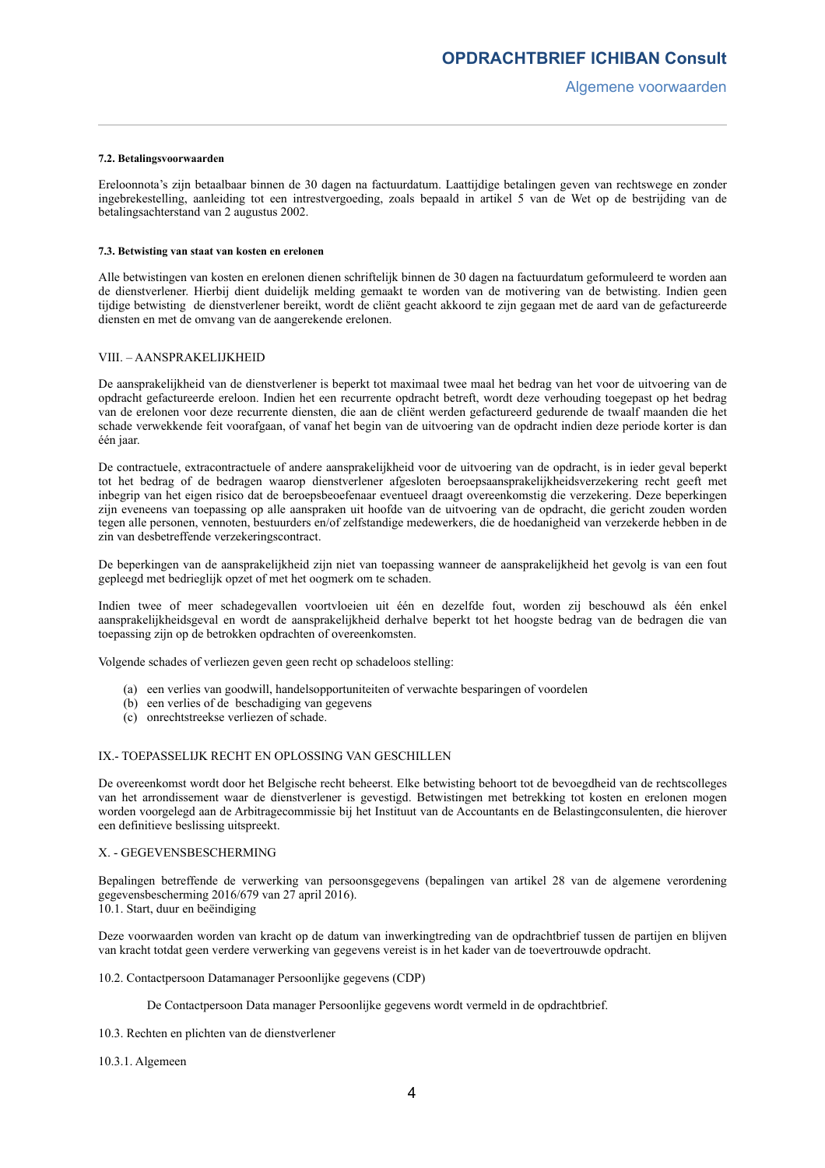## **7.2. Betalingsvoorwaarden**

Ereloonnota's zijn betaalbaar binnen de 30 dagen na factuurdatum. Laattijdige betalingen geven van rechtswege en zonder ingebrekestelling, aanleiding tot een intrestvergoeding, zoals bepaald in artikel 5 van de Wet op de bestrijding van de betalingsachterstand van 2 augustus 2002.

#### **7.3. Betwisting van staat van kosten en erelonen**

Alle betwistingen van kosten en erelonen dienen schriftelijk binnen de 30 dagen na factuurdatum geformuleerd te worden aan de dienstverlener. Hierbij dient duidelijk melding gemaakt te worden van de motivering van de betwisting. Indien geen tijdige betwisting de dienstverlener bereikt, wordt de cliënt geacht akkoord te zijn gegaan met de aard van de gefactureerde diensten en met de omvang van de aangerekende erelonen.

## VIII. – AANSPRAKELIJKHEID

De aansprakelijkheid van de dienstverlener is beperkt tot maximaal twee maal het bedrag van het voor de uitvoering van de opdracht gefactureerde ereloon. Indien het een recurrente opdracht betreft, wordt deze verhouding toegepast op het bedrag van de erelonen voor deze recurrente diensten, die aan de cliënt werden gefactureerd gedurende de twaalf maanden die het schade verwekkende feit voorafgaan, of vanaf het begin van de uitvoering van de opdracht indien deze periode korter is dan één jaar.

De contractuele, extracontractuele of andere aansprakelijkheid voor de uitvoering van de opdracht, is in ieder geval beperkt tot het bedrag of de bedragen waarop dienstverlener afgesloten beroepsaansprakelijkheidsverzekering recht geeft met inbegrip van het eigen risico dat de beroepsbeoefenaar eventueel draagt overeenkomstig die verzekering. Deze beperkingen zijn eveneens van toepassing op alle aanspraken uit hoofde van de uitvoering van de opdracht, die gericht zouden worden tegen alle personen, vennoten, bestuurders en/of zelfstandige medewerkers, die de hoedanigheid van verzekerde hebben in de zin van desbetreffende verzekeringscontract.

De beperkingen van de aansprakelijkheid zijn niet van toepassing wanneer de aansprakelijkheid het gevolg is van een fout gepleegd met bedrieglijk opzet of met het oogmerk om te schaden.

Indien twee of meer schadegevallen voortvloeien uit één en dezelfde fout, worden zij beschouwd als één enkel aansprakelijkheidsgeval en wordt de aansprakelijkheid derhalve beperkt tot het hoogste bedrag van de bedragen die van toepassing zijn op de betrokken opdrachten of overeenkomsten.

Volgende schades of verliezen geven geen recht op schadeloos stelling:

- (a) een verlies van goodwill, handelsopportuniteiten of verwachte besparingen of voordelen
- (b) een verlies of de beschadiging van gegevens
- (c) onrechtstreekse verliezen of schade.

# IX.- TOEPASSELIJK RECHT EN OPLOSSING VAN GESCHILLEN

De overeenkomst wordt door het Belgische recht beheerst. Elke betwisting behoort tot de bevoegdheid van de rechtscolleges van het arrondissement waar de dienstverlener is gevestigd. Betwistingen met betrekking tot kosten en erelonen mogen worden voorgelegd aan de Arbitragecommissie bij het Instituut van de Accountants en de Belastingconsulenten, die hierover een definitieve beslissing uitspreekt.

# X. - GEGEVENSBESCHERMING

Bepalingen betreffende de verwerking van persoonsgegevens (bepalingen van artikel 28 van de algemene verordening gegevensbescherming 2016/679 van 27 april 2016).

10.1. Start, duur en beëindiging

Deze voorwaarden worden van kracht op de datum van inwerkingtreding van de opdrachtbrief tussen de partijen en blijven van kracht totdat geen verdere verwerking van gegevens vereist is in het kader van de toevertrouwde opdracht.

10.2. Contactpersoon Datamanager Persoonlijke gegevens (CDP)

De Contactpersoon Data manager Persoonlijke gegevens wordt vermeld in de opdrachtbrief.

- 10.3. Rechten en plichten van de dienstverlener
- 10.3.1. Algemeen